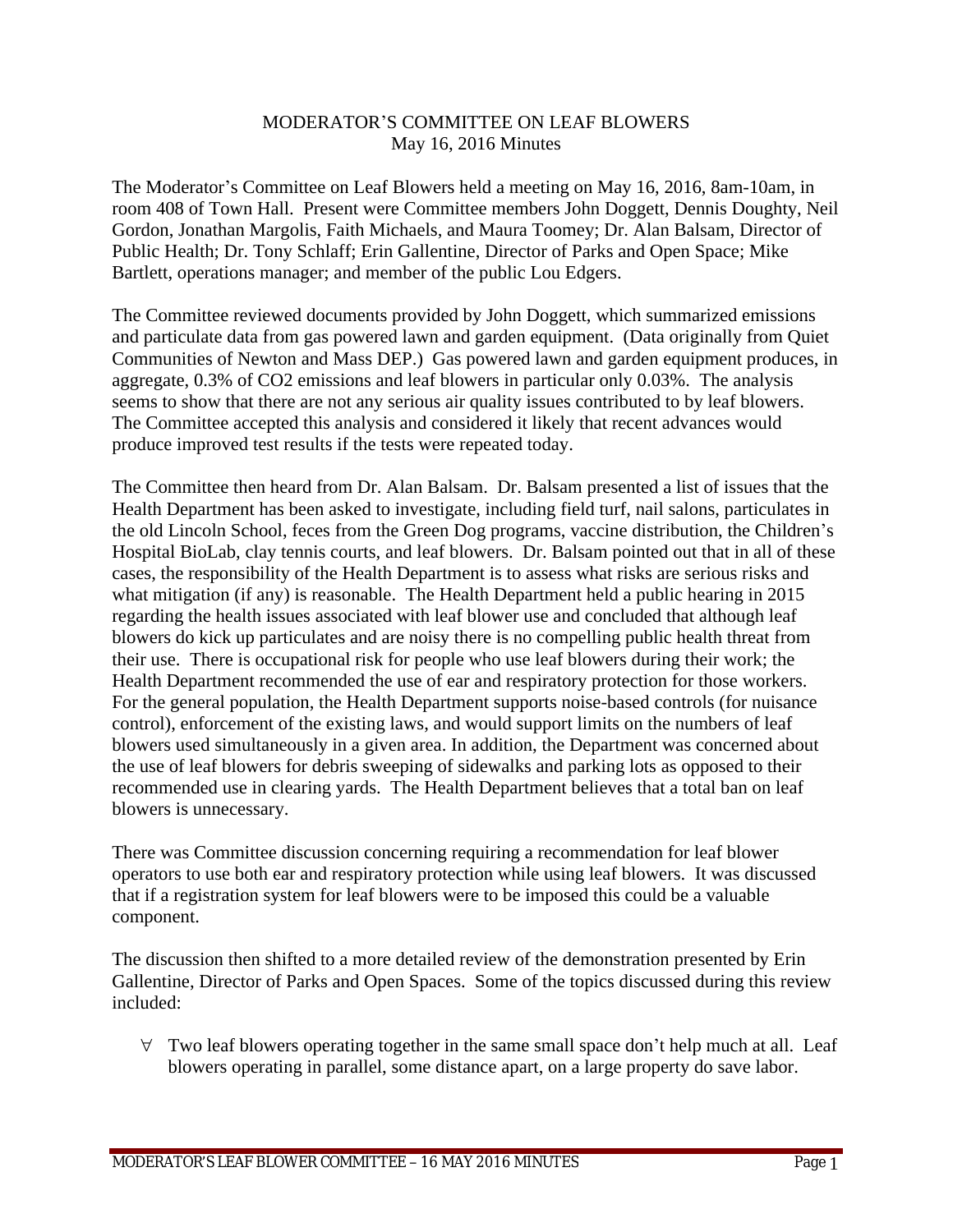## MODERATOR'S COMMITTEE ON LEAF BLOWERS May 16, 2016 Minutes

The Moderator's Committee on Leaf Blowers held a meeting on May 16, 2016, 8am-10am, in room 408 of Town Hall. Present were Committee members John Doggett, Dennis Doughty, Neil Gordon, Jonathan Margolis, Faith Michaels, and Maura Toomey; Dr. Alan Balsam, Director of Public Health; Dr. Tony Schlaff; Erin Gallentine, Director of Parks and Open Space; Mike Bartlett, operations manager; and member of the public Lou Edgers.

The Committee reviewed documents provided by John Doggett, which summarized emissions and particulate data from gas powered lawn and garden equipment. (Data originally from Quiet Communities of Newton and Mass DEP.) Gas powered lawn and garden equipment produces, in aggregate, 0.3% of CO2 emissions and leaf blowers in particular only 0.03%. The analysis seems to show that there are not any serious air quality issues contributed to by leaf blowers. The Committee accepted this analysis and considered it likely that recent advances would produce improved test results if the tests were repeated today.

The Committee then heard from Dr. Alan Balsam. Dr. Balsam presented a list of issues that the Health Department has been asked to investigate, including field turf, nail salons, particulates in the old Lincoln School, feces from the Green Dog programs, vaccine distribution, the Children's Hospital BioLab, clay tennis courts, and leaf blowers. Dr. Balsam pointed out that in all of these cases, the responsibility of the Health Department is to assess what risks are serious risks and what mitigation (if any) is reasonable. The Health Department held a public hearing in 2015 regarding the health issues associated with leaf blower use and concluded that although leaf blowers do kick up particulates and are noisy there is no compelling public health threat from their use. There is occupational risk for people who use leaf blowers during their work; the Health Department recommended the use of ear and respiratory protection for those workers. For the general population, the Health Department supports noise-based controls (for nuisance control), enforcement of the existing laws, and would support limits on the numbers of leaf blowers used simultaneously in a given area. In addition, the Department was concerned about the use of leaf blowers for debris sweeping of sidewalks and parking lots as opposed to their recommended use in clearing yards. The Health Department believes that a total ban on leaf blowers is unnecessary.

There was Committee discussion concerning requiring a recommendation for leaf blower operators to use both ear and respiratory protection while using leaf blowers. It was discussed that if a registration system for leaf blowers were to be imposed this could be a valuable component.

The discussion then shifted to a more detailed review of the demonstration presented by Erin Gallentine, Director of Parks and Open Spaces. Some of the topics discussed during this review included:

 $\forall$  Two leaf blowers operating together in the same small space don't help much at all. Leaf blowers operating in parallel, some distance apart, on a large property do save labor.